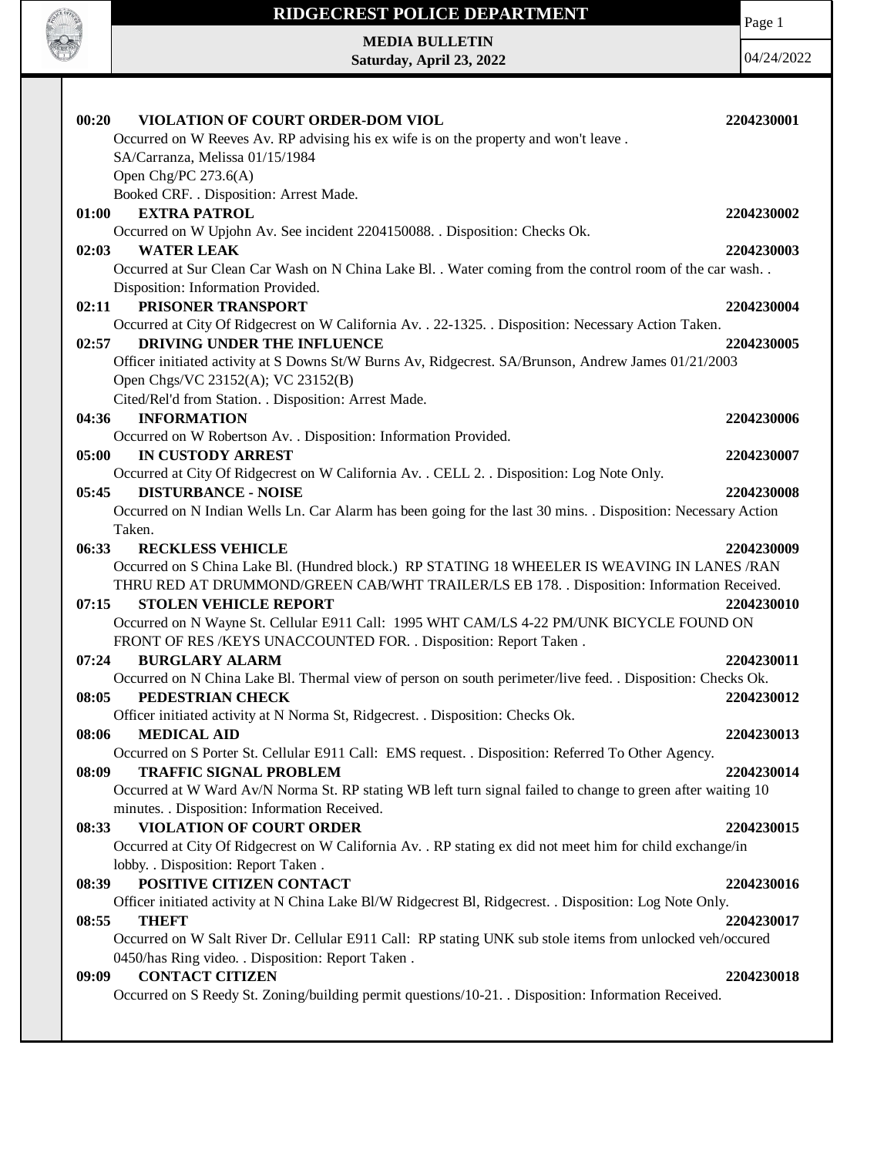

Page 1

**MEDIA BULLETIN Saturday, April 23, 2022**

| 00:20<br>VIOLATION OF COURT ORDER-DOM VIOL                                                                    | 2204230001 |
|---------------------------------------------------------------------------------------------------------------|------------|
| Occurred on W Reeves Av. RP advising his ex wife is on the property and won't leave.                          |            |
| SA/Carranza, Melissa 01/15/1984                                                                               |            |
| Open Chg/PC $273.6(A)$                                                                                        |            |
| Booked CRF. . Disposition: Arrest Made.                                                                       |            |
| <b>EXTRA PATROL</b><br>01:00                                                                                  | 2204230002 |
| Occurred on W Upjohn Av. See incident 2204150088. . Disposition: Checks Ok.                                   |            |
| 02:03<br><b>WATER LEAK</b>                                                                                    | 2204230003 |
| Occurred at Sur Clean Car Wash on N China Lake Bl. . Water coming from the control room of the car wash       |            |
| Disposition: Information Provided.                                                                            |            |
| PRISONER TRANSPORT<br>02:11                                                                                   | 2204230004 |
| Occurred at City Of Ridgecrest on W California Av. . 22-1325. . Disposition: Necessary Action Taken.          |            |
| DRIVING UNDER THE INFLUENCE<br>02:57                                                                          | 2204230005 |
| Officer initiated activity at S Downs St/W Burns Av, Ridgecrest. SA/Brunson, Andrew James 01/21/2003          |            |
| Open Chgs/VC 23152(A); VC 23152(B)                                                                            |            |
| Cited/Rel'd from Station. . Disposition: Arrest Made.                                                         |            |
| <b>INFORMATION</b><br>04:36                                                                                   | 2204230006 |
| Occurred on W Robertson Av. . Disposition: Information Provided.                                              |            |
| <b>IN CUSTODY ARREST</b><br>05:00                                                                             | 2204230007 |
| Occurred at City Of Ridgecrest on W California Av. . CELL 2. . Disposition: Log Note Only.                    |            |
| <b>DISTURBANCE - NOISE</b><br>05:45                                                                           | 2204230008 |
| Occurred on N Indian Wells Ln. Car Alarm has been going for the last 30 mins. . Disposition: Necessary Action |            |
| Taken.                                                                                                        |            |
| 06:33<br><b>RECKLESS VEHICLE</b>                                                                              | 2204230009 |
| Occurred on S China Lake Bl. (Hundred block.) RP STATING 18 WHEELER IS WEAVING IN LANES/RAN                   |            |
| THRU RED AT DRUMMOND/GREEN CAB/WHT TRAILER/LS EB 178. . Disposition: Information Received.                    |            |
| 07:15<br><b>STOLEN VEHICLE REPORT</b>                                                                         | 2204230010 |
| Occurred on N Wayne St. Cellular E911 Call: 1995 WHT CAM/LS 4-22 PM/UNK BICYCLE FOUND ON                      |            |
| FRONT OF RES /KEYS UNACCOUNTED FOR. . Disposition: Report Taken .                                             |            |
| 07:24<br><b>BURGLARY ALARM</b>                                                                                | 2204230011 |
| Occurred on N China Lake Bl. Thermal view of person on south perimeter/live feed. . Disposition: Checks Ok.   |            |
| PEDESTRIAN CHECK<br>08:05                                                                                     | 2204230012 |
| Officer initiated activity at N Norma St, Ridgecrest. . Disposition: Checks Ok.                               |            |
| <b>MEDICAL AID</b><br>08:06                                                                                   | 2204230013 |
| Occurred on S Porter St. Cellular E911 Call: EMS request. . Disposition: Referred To Other Agency.            |            |
| 08:09<br><b>TRAFFIC SIGNAL PROBLEM</b>                                                                        | 2204230014 |
| Occurred at W Ward Av/N Norma St. RP stating WB left turn signal failed to change to green after waiting 10   |            |
| minutes. . Disposition: Information Received.                                                                 |            |
| <b>VIOLATION OF COURT ORDER</b><br>08:33                                                                      | 2204230015 |
| Occurred at City Of Ridgecrest on W California Av. . RP stating ex did not meet him for child exchange/in     |            |
| lobby. . Disposition: Report Taken .                                                                          |            |
| POSITIVE CITIZEN CONTACT<br>08:39                                                                             | 2204230016 |
| Officer initiated activity at N China Lake Bl/W Ridgecrest Bl, Ridgecrest. . Disposition: Log Note Only.      |            |
| <b>THEFT</b><br>08:55                                                                                         | 2204230017 |
| Occurred on W Salt River Dr. Cellular E911 Call: RP stating UNK sub stole items from unlocked veh/occured     |            |
| 0450/has Ring video. . Disposition: Report Taken.                                                             |            |
| <b>CONTACT CITIZEN</b><br>09:09                                                                               | 2204230018 |
| Occurred on S Reedy St. Zoning/building permit questions/10-21. . Disposition: Information Received.          |            |
|                                                                                                               |            |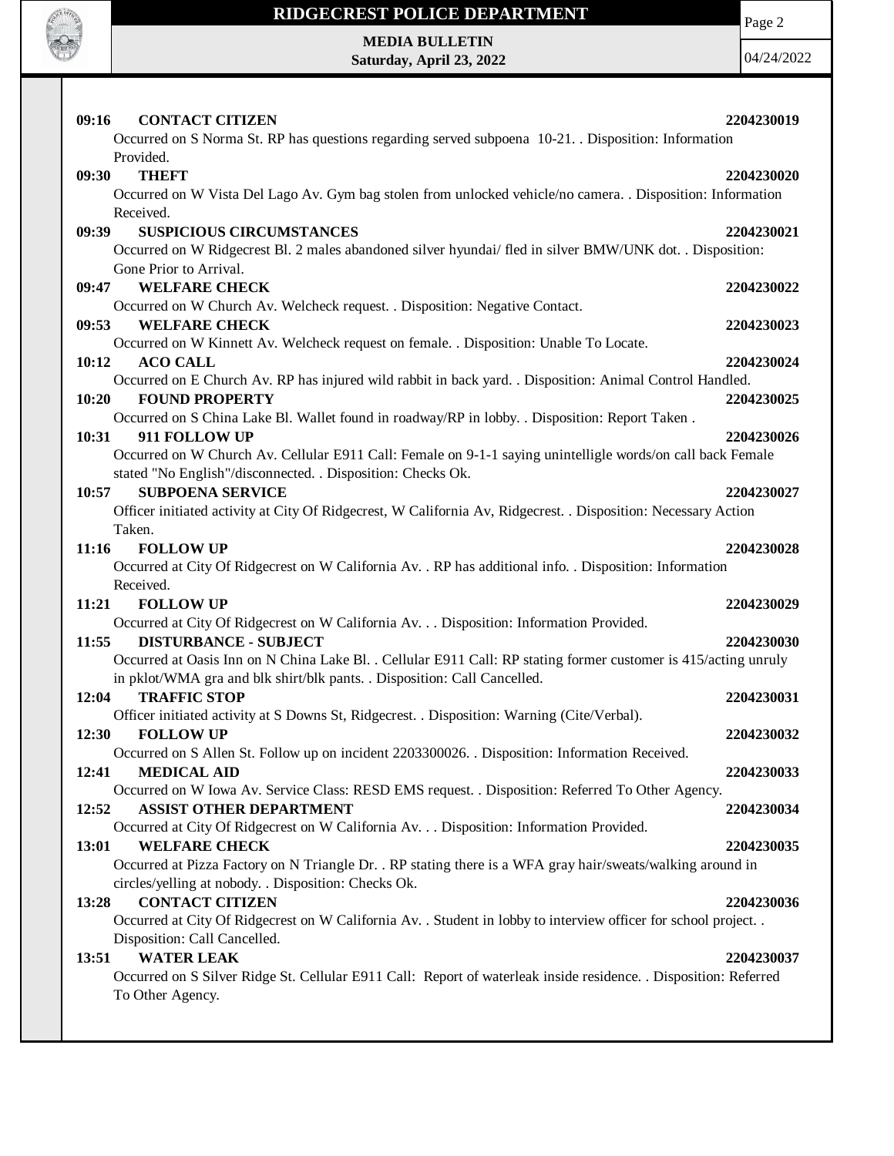

Page 2

**MEDIA BULLETIN Saturday, April 23, 2022**

| <b>CONTACT CITIZEN</b><br>09:16                                                                                                      | 2204230019 |
|--------------------------------------------------------------------------------------------------------------------------------------|------------|
| Occurred on S Norma St. RP has questions regarding served subpoena 10-21. Disposition: Information                                   |            |
| Provided.                                                                                                                            |            |
| <b>THEFT</b><br>09:30                                                                                                                | 2204230020 |
| Occurred on W Vista Del Lago Av. Gym bag stolen from unlocked vehicle/no camera. . Disposition: Information                          |            |
| Received.                                                                                                                            |            |
| <b>SUSPICIOUS CIRCUMSTANCES</b><br>09:39                                                                                             | 2204230021 |
| Occurred on W Ridgecrest Bl. 2 males abandoned silver hyundai/ fled in silver BMW/UNK dot. . Disposition:                            |            |
| Gone Prior to Arrival.                                                                                                               |            |
| <b>WELFARE CHECK</b><br>09:47                                                                                                        | 2204230022 |
| Occurred on W Church Av. Welcheck request. . Disposition: Negative Contact.                                                          |            |
| 09:53<br><b>WELFARE CHECK</b>                                                                                                        | 2204230023 |
| Occurred on W Kinnett Av. Welcheck request on female. . Disposition: Unable To Locate.                                               |            |
| 10:12<br><b>ACO CALL</b>                                                                                                             | 2204230024 |
| Occurred on E Church Av. RP has injured wild rabbit in back yard. . Disposition: Animal Control Handled.                             |            |
| 10:20<br><b>FOUND PROPERTY</b><br>Occurred on S China Lake Bl. Wallet found in roadway/RP in lobby. . Disposition: Report Taken.     | 2204230025 |
| 10:31<br>911 FOLLOW UP                                                                                                               | 2204230026 |
| Occurred on W Church Av. Cellular E911 Call: Female on 9-1-1 saying unintelligle words/on call back Female                           |            |
| stated "No English"/disconnected. . Disposition: Checks Ok.                                                                          |            |
| 10:57<br><b>SUBPOENA SERVICE</b>                                                                                                     | 2204230027 |
| Officer initiated activity at City Of Ridgecrest, W California Av, Ridgecrest. . Disposition: Necessary Action                       |            |
| Taken.                                                                                                                               |            |
| 11:16<br><b>FOLLOW UP</b>                                                                                                            | 2204230028 |
| Occurred at City Of Ridgecrest on W California Av. . RP has additional info. . Disposition: Information                              |            |
| Received.                                                                                                                            |            |
| 11:21<br><b>FOLLOW UP</b>                                                                                                            | 2204230029 |
| Occurred at City Of Ridgecrest on W California Av. Disposition: Information Provided.                                                |            |
| <b>DISTURBANCE - SUBJECT</b><br>11:55                                                                                                | 2204230030 |
| Occurred at Oasis Inn on N China Lake Bl. . Cellular E911 Call: RP stating former customer is 415/acting unruly                      |            |
| in pklot/WMA gra and blk shirt/blk pants. . Disposition: Call Cancelled.                                                             |            |
| <b>TRAFFIC STOP</b><br>12:04                                                                                                         | 2204230031 |
| Officer initiated activity at S Downs St, Ridgecrest. . Disposition: Warning (Cite/Verbal).                                          |            |
| <b>FOLLOW UP</b><br>12:30                                                                                                            | 2204230032 |
| Occurred on S Allen St. Follow up on incident 2203300026. Disposition: Information Received.                                         |            |
| <b>MEDICAL AID</b><br>12:41                                                                                                          | 2204230033 |
| Occurred on W Iowa Av. Service Class: RESD EMS request. . Disposition: Referred To Other Agency.                                     |            |
| 12:52<br><b>ASSIST OTHER DEPARTMENT</b>                                                                                              | 2204230034 |
| Occurred at City Of Ridgecrest on W California Av. Disposition: Information Provided.                                                |            |
| 13:01<br><b>WELFARE CHECK</b>                                                                                                        | 2204230035 |
| Occurred at Pizza Factory on N Triangle Dr. . RP stating there is a WFA gray hair/sweats/walking around in                           |            |
| circles/yelling at nobody. . Disposition: Checks Ok.                                                                                 |            |
| <b>CONTACT CITIZEN</b><br>13:28                                                                                                      | 2204230036 |
| Occurred at City Of Ridgecrest on W California Av. . Student in lobby to interview officer for school project. .                     |            |
| Disposition: Call Cancelled.                                                                                                         |            |
| <b>WATER LEAK</b><br>13:51                                                                                                           | 2204230037 |
| Occurred on S Silver Ridge St. Cellular E911 Call: Report of waterleak inside residence. . Disposition: Referred<br>To Other Agency. |            |
|                                                                                                                                      |            |
|                                                                                                                                      |            |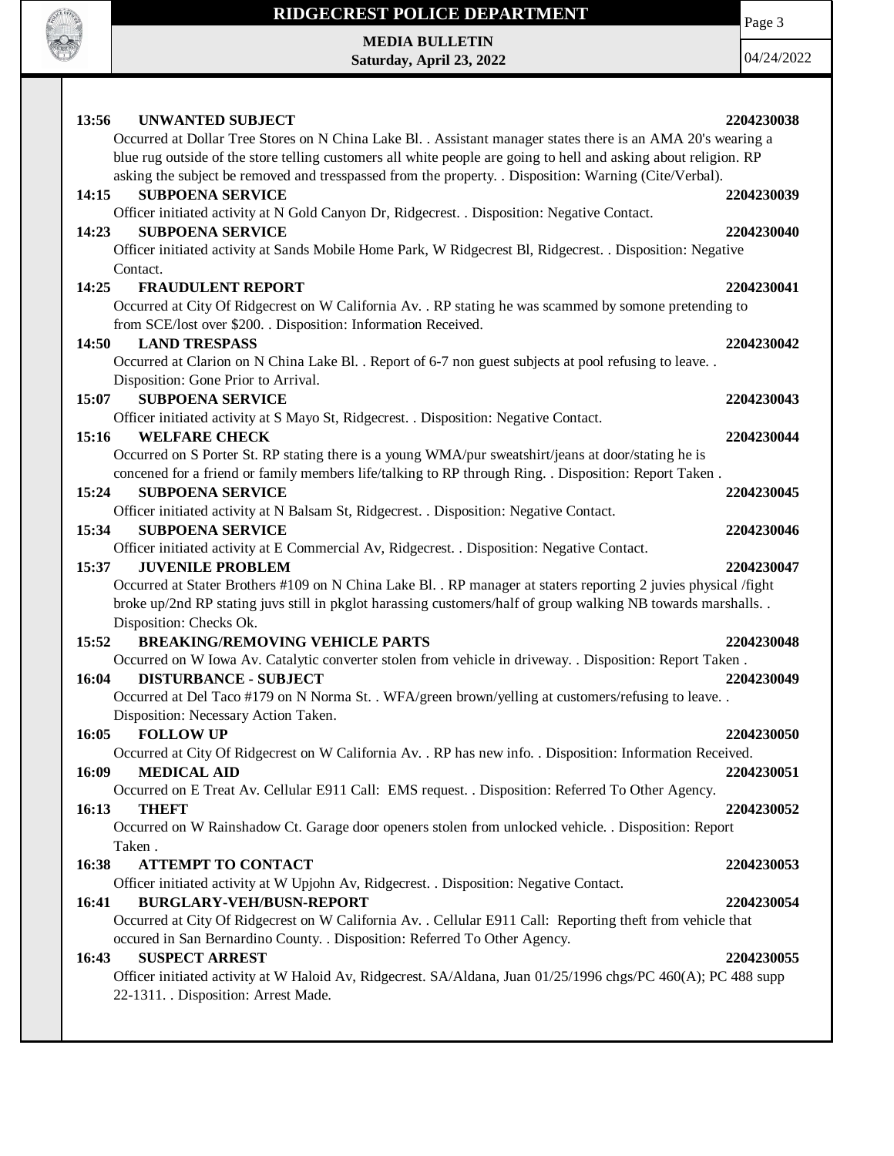

Page 3

**MEDIA BULLETIN Saturday, April 23, 2022**

| 13:56<br><b>UNWANTED SUBJECT</b><br>Occurred at Dollar Tree Stores on N China Lake Bl. . Assistant manager states there is an AMA 20's wearing a                                                                                                                                                                                                                  | 2204230038 |
|-------------------------------------------------------------------------------------------------------------------------------------------------------------------------------------------------------------------------------------------------------------------------------------------------------------------------------------------------------------------|------------|
| blue rug outside of the store telling customers all white people are going to hell and asking about religion. RP<br>asking the subject be removed and tresspassed from the property. . Disposition: Warning (Cite/Verbal).                                                                                                                                        |            |
| <b>SUBPOENA SERVICE</b><br>14:15<br>Officer initiated activity at N Gold Canyon Dr, Ridgecrest. . Disposition: Negative Contact.                                                                                                                                                                                                                                  | 2204230039 |
| 14:23<br><b>SUBPOENA SERVICE</b><br>Officer initiated activity at Sands Mobile Home Park, W Ridgecrest Bl, Ridgecrest. . Disposition: Negative                                                                                                                                                                                                                    | 2204230040 |
| Contact.<br><b>FRAUDULENT REPORT</b><br>14:25<br>Occurred at City Of Ridgecrest on W California Av. . RP stating he was scammed by somone pretending to                                                                                                                                                                                                           | 2204230041 |
| from SCE/lost over \$200. . Disposition: Information Received.<br><b>LAND TRESPASS</b><br>14:50                                                                                                                                                                                                                                                                   | 2204230042 |
| Occurred at Clarion on N China Lake Bl. . Report of 6-7 non guest subjects at pool refusing to leave. .<br>Disposition: Gone Prior to Arrival.                                                                                                                                                                                                                    |            |
| <b>SUBPOENA SERVICE</b><br>15:07                                                                                                                                                                                                                                                                                                                                  | 2204230043 |
| Officer initiated activity at S Mayo St, Ridgecrest. . Disposition: Negative Contact.<br>15:16<br><b>WELFARE CHECK</b>                                                                                                                                                                                                                                            | 2204230044 |
| Occurred on S Porter St. RP stating there is a young WMA/pur sweatshirt/jeans at door/stating he is<br>concened for a friend or family members life/talking to RP through Ring. . Disposition: Report Taken.                                                                                                                                                      |            |
| <b>SUBPOENA SERVICE</b><br>15:24                                                                                                                                                                                                                                                                                                                                  | 2204230045 |
| Officer initiated activity at N Balsam St, Ridgecrest. . Disposition: Negative Contact.<br>15:34<br><b>SUBPOENA SERVICE</b>                                                                                                                                                                                                                                       | 2204230046 |
| Officer initiated activity at E Commercial Av, Ridgecrest. . Disposition: Negative Contact.<br><b>JUVENILE PROBLEM</b><br>15:37<br>Occurred at Stater Brothers #109 on N China Lake Bl. . RP manager at staters reporting 2 juvies physical /fight<br>broke up/2nd RP stating juvs still in pkglot harassing customers/half of group walking NB towards marshalls | 2204230047 |
| Disposition: Checks Ok.                                                                                                                                                                                                                                                                                                                                           |            |
| <b>BREAKING/REMOVING VEHICLE PARTS</b><br>15:52<br>Occurred on W Iowa Av. Catalytic converter stolen from vehicle in driveway. . Disposition: Report Taken.                                                                                                                                                                                                       | 2204230048 |
| 16:04<br><b>DISTURBANCE - SUBJECT</b>                                                                                                                                                                                                                                                                                                                             | 2204230049 |
| Occurred at Del Taco #179 on N Norma St. . WFA/green brown/yelling at customers/refusing to leave. .<br>Disposition: Necessary Action Taken.                                                                                                                                                                                                                      |            |
| <b>FOLLOW UP</b><br>16:05                                                                                                                                                                                                                                                                                                                                         | 2204230050 |
| Occurred at City Of Ridgecrest on W California Av. . RP has new info. . Disposition: Information Received.                                                                                                                                                                                                                                                        |            |
| <b>MEDICAL AID</b><br>16:09<br>Occurred on E Treat Av. Cellular E911 Call: EMS request. . Disposition: Referred To Other Agency.                                                                                                                                                                                                                                  | 2204230051 |
| 16:13<br><b>THEFT</b>                                                                                                                                                                                                                                                                                                                                             | 2204230052 |
| Occurred on W Rainshadow Ct. Garage door openers stolen from unlocked vehicle. . Disposition: Report                                                                                                                                                                                                                                                              |            |
| Taken.                                                                                                                                                                                                                                                                                                                                                            |            |
| <b>ATTEMPT TO CONTACT</b><br>16:38<br>Officer initiated activity at W Upjohn Av, Ridgecrest. . Disposition: Negative Contact.                                                                                                                                                                                                                                     | 2204230053 |
| <b>BURGLARY-VEH/BUSN-REPORT</b><br>16:41                                                                                                                                                                                                                                                                                                                          | 2204230054 |
| Occurred at City Of Ridgecrest on W California Av. . Cellular E911 Call: Reporting theft from vehicle that                                                                                                                                                                                                                                                        |            |
| occured in San Bernardino County. . Disposition: Referred To Other Agency.<br><b>SUSPECT ARREST</b><br>16:43                                                                                                                                                                                                                                                      | 2204230055 |
| Officer initiated activity at W Haloid Av, Ridgecrest. SA/Aldana, Juan 01/25/1996 chgs/PC 460(A); PC 488 supp<br>22-1311. Disposition: Arrest Made.                                                                                                                                                                                                               |            |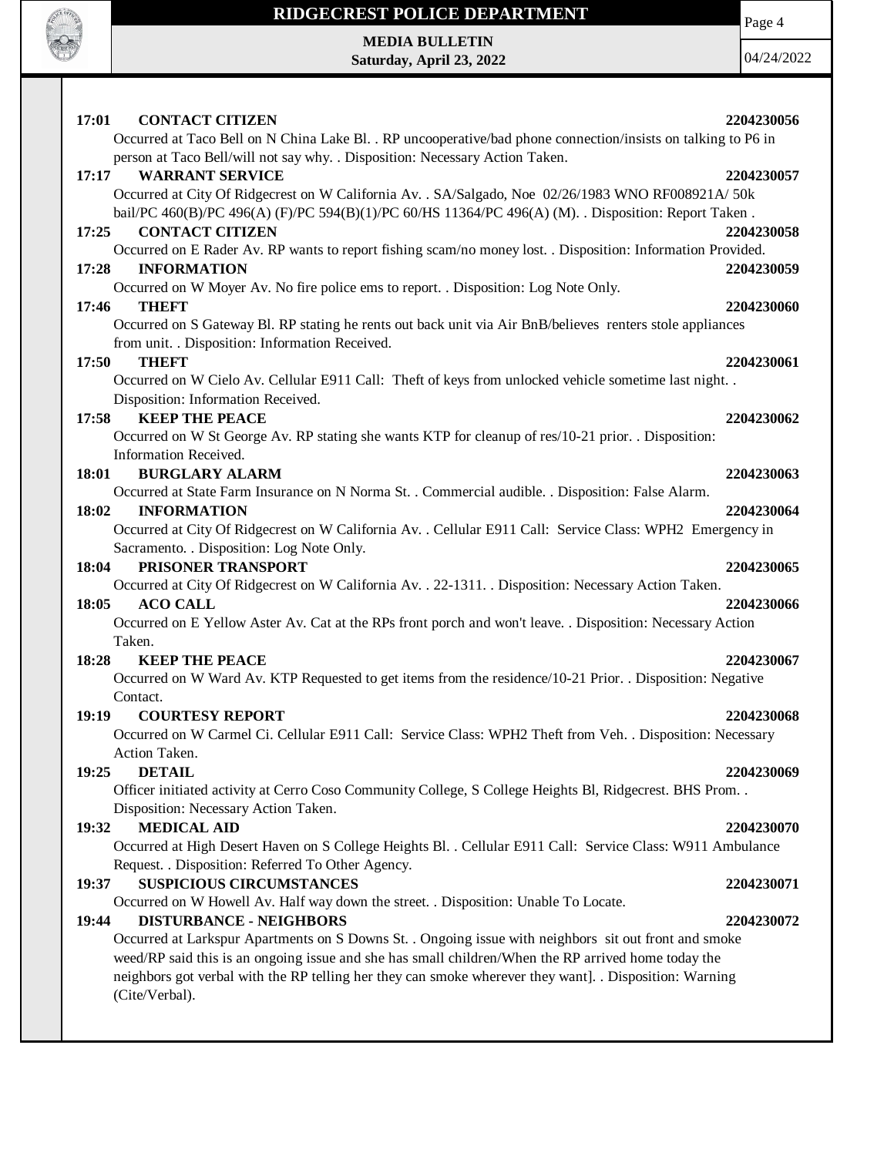

Page 4

**MEDIA BULLETIN Saturday, April 23, 2022**

| <b>CONTACT CITIZEN</b><br>17:01                                                                               | 2204230056 |
|---------------------------------------------------------------------------------------------------------------|------------|
| Occurred at Taco Bell on N China Lake Bl. . RP uncooperative/bad phone connection/insists on talking to P6 in |            |
| person at Taco Bell/will not say why. . Disposition: Necessary Action Taken.                                  |            |
| <b>WARRANT SERVICE</b><br>17:17                                                                               | 2204230057 |
| Occurred at City Of Ridgecrest on W California Av. . SA/Salgado, Noe 02/26/1983 WNO RF008921A/ 50k            |            |
| bail/PC 460(B)/PC 496(A) (F)/PC 594(B)(1)/PC 60/HS 11364/PC 496(A) (M). Disposition: Report Taken.            |            |
| <b>CONTACT CITIZEN</b><br>17:25                                                                               | 2204230058 |
| Occurred on E Rader Av. RP wants to report fishing scam/no money lost. . Disposition: Information Provided.   |            |
| 17:28<br><b>INFORMATION</b>                                                                                   | 2204230059 |
| Occurred on W Moyer Av. No fire police ems to report. . Disposition: Log Note Only.                           |            |
| 17:46<br><b>THEFT</b>                                                                                         | 2204230060 |
| Occurred on S Gateway Bl. RP stating he rents out back unit via Air BnB/believes renters stole appliances     |            |
| from unit. . Disposition: Information Received.                                                               |            |
| <b>THEFT</b><br>17:50                                                                                         | 2204230061 |
| Occurred on W Cielo Av. Cellular E911 Call: Theft of keys from unlocked vehicle sometime last night. .        |            |
| Disposition: Information Received.                                                                            |            |
| <b>KEEP THE PEACE</b><br>17:58                                                                                | 2204230062 |
| Occurred on W St George Av. RP stating she wants KTP for cleanup of res/10-21 prior. . Disposition:           |            |
| Information Received.                                                                                         |            |
| <b>BURGLARY ALARM</b><br>18:01                                                                                | 2204230063 |
| Occurred at State Farm Insurance on N Norma St. . Commercial audible. . Disposition: False Alarm.             |            |
| <b>INFORMATION</b><br>18:02                                                                                   | 2204230064 |
| Occurred at City Of Ridgecrest on W California Av. . Cellular E911 Call: Service Class: WPH2 Emergency in     |            |
| Sacramento. . Disposition: Log Note Only.                                                                     |            |
| PRISONER TRANSPORT<br>18:04                                                                                   | 2204230065 |
| Occurred at City Of Ridgecrest on W California Av. . 22-1311. . Disposition: Necessary Action Taken.          |            |
| <b>ACO CALL</b><br>18:05                                                                                      | 2204230066 |
| Occurred on E Yellow Aster Av. Cat at the RPs front porch and won't leave. . Disposition: Necessary Action    |            |
| Taken.                                                                                                        |            |
| <b>KEEP THE PEACE</b><br>18:28                                                                                | 2204230067 |
| Occurred on W Ward Av. KTP Requested to get items from the residence/10-21 Prior. . Disposition: Negative     |            |
| Contact.                                                                                                      |            |
| 19:19<br><b>COURTESY REPORT</b>                                                                               | 2204230068 |
| Occurred on W Carmel Ci. Cellular E911 Call: Service Class: WPH2 Theft from Veh. . Disposition: Necessary     |            |
| Action Taken.                                                                                                 |            |
| <b>DETAIL</b><br>19:25                                                                                        | 2204230069 |
| Officer initiated activity at Cerro Coso Community College, S College Heights Bl, Ridgecrest. BHS Prom        |            |
| Disposition: Necessary Action Taken.                                                                          |            |
| <b>MEDICAL AID</b><br>19:32                                                                                   | 2204230070 |
| Occurred at High Desert Haven on S College Heights Bl. . Cellular E911 Call: Service Class: W911 Ambulance    |            |
| Request. . Disposition: Referred To Other Agency.                                                             |            |
| <b>SUSPICIOUS CIRCUMSTANCES</b><br>19:37                                                                      | 2204230071 |
| Occurred on W Howell Av. Half way down the street. . Disposition: Unable To Locate.                           |            |
| <b>DISTURBANCE - NEIGHBORS</b><br>19:44                                                                       | 2204230072 |
| Occurred at Larkspur Apartments on S Downs St. . Ongoing issue with neighbors sit out front and smoke         |            |
| weed/RP said this is an ongoing issue and she has small children/When the RP arrived home today the           |            |
| neighbors got verbal with the RP telling her they can smoke wherever they want]. . Disposition: Warning       |            |
| (Cite/Verbal).                                                                                                |            |
|                                                                                                               |            |
|                                                                                                               |            |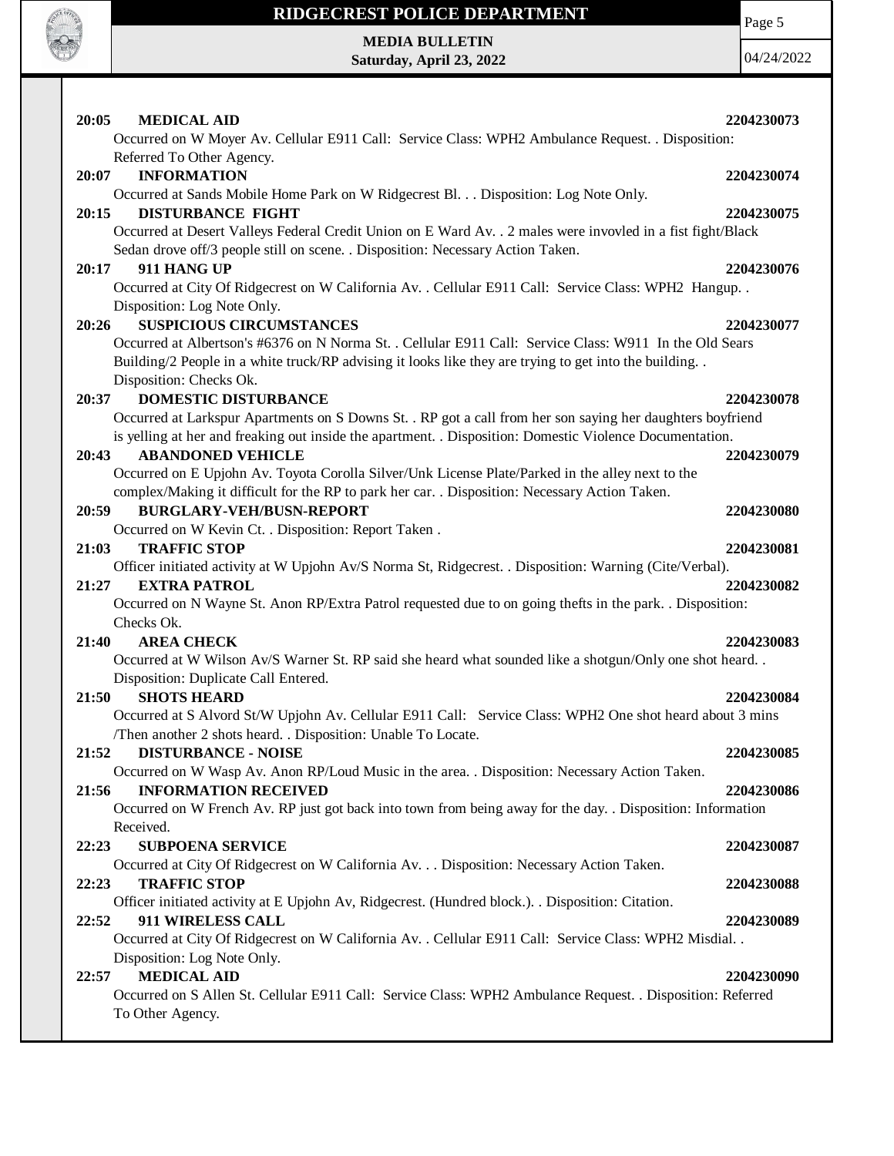

Page 5

**MEDIA BULLETIN Saturday, April 23, 2022**

| 20:05<br><b>MEDICAL AID</b><br>Occurred on W Moyer Av. Cellular E911 Call: Service Class: WPH2 Ambulance Request. . Disposition:                                                                                                                                                        | 2204230073 |
|-----------------------------------------------------------------------------------------------------------------------------------------------------------------------------------------------------------------------------------------------------------------------------------------|------------|
| Referred To Other Agency.<br><b>INFORMATION</b><br>20:07<br>Occurred at Sands Mobile Home Park on W Ridgecrest Bl. Disposition: Log Note Only.                                                                                                                                          | 2204230074 |
| <b>DISTURBANCE FIGHT</b><br>20:15<br>Occurred at Desert Valleys Federal Credit Union on E Ward Av. . 2 males were invovled in a fist fight/Black<br>Sedan drove off/3 people still on scene. . Disposition: Necessary Action Taken.                                                     | 2204230075 |
| 911 HANG UP<br>20:17<br>Occurred at City Of Ridgecrest on W California Av. . Cellular E911 Call: Service Class: WPH2 Hangup. .<br>Disposition: Log Note Only.                                                                                                                           | 2204230076 |
| <b>SUSPICIOUS CIRCUMSTANCES</b><br>20:26<br>Occurred at Albertson's #6376 on N Norma St. . Cellular E911 Call: Service Class: W911 In the Old Sears<br>Building/2 People in a white truck/RP advising it looks like they are trying to get into the building<br>Disposition: Checks Ok. | 2204230077 |
| <b>DOMESTIC DISTURBANCE</b><br>20:37                                                                                                                                                                                                                                                    | 2204230078 |
| Occurred at Larkspur Apartments on S Downs St. . RP got a call from her son saying her daughters boyfriend                                                                                                                                                                              |            |
| is yelling at her and freaking out inside the apartment. . Disposition: Domestic Violence Documentation.                                                                                                                                                                                |            |
| <b>ABANDONED VEHICLE</b><br>20:43<br>Occurred on E Upjohn Av. Toyota Corolla Silver/Unk License Plate/Parked in the alley next to the<br>complex/Making it difficult for the RP to park her car. . Disposition: Necessary Action Taken.                                                 | 2204230079 |
| <b>BURGLARY-VEH/BUSN-REPORT</b><br>20:59                                                                                                                                                                                                                                                | 2204230080 |
| Occurred on W Kevin Ct. . Disposition: Report Taken .                                                                                                                                                                                                                                   |            |
| 21:03<br><b>TRAFFIC STOP</b>                                                                                                                                                                                                                                                            | 2204230081 |
| Officer initiated activity at W Upjohn Av/S Norma St, Ridgecrest. . Disposition: Warning (Cite/Verbal).                                                                                                                                                                                 |            |
| 21:27<br><b>EXTRA PATROL</b><br>Occurred on N Wayne St. Anon RP/Extra Patrol requested due to on going thefts in the park. . Disposition:<br>Checks Ok.                                                                                                                                 | 2204230082 |
| 21:40<br><b>AREA CHECK</b>                                                                                                                                                                                                                                                              | 2204230083 |
| Occurred at W Wilson Av/S Warner St. RP said she heard what sounded like a shotgun/Only one shot heard<br>Disposition: Duplicate Call Entered.                                                                                                                                          |            |
| <b>SHOTS HEARD</b><br>21:50                                                                                                                                                                                                                                                             | 2204230084 |
| Occurred at S Alvord St/W Upjohn Av. Cellular E911 Call: Service Class: WPH2 One shot heard about 3 mins<br>/Then another 2 shots heard. . Disposition: Unable To Locate.                                                                                                               |            |
| <b>DISTURBANCE - NOISE</b><br>21:52                                                                                                                                                                                                                                                     | 2204230085 |
| Occurred on W Wasp Av. Anon RP/Loud Music in the area. . Disposition: Necessary Action Taken.                                                                                                                                                                                           |            |
| <b>INFORMATION RECEIVED</b><br>21:56                                                                                                                                                                                                                                                    | 2204230086 |
| Occurred on W French Av. RP just got back into town from being away for the day. . Disposition: Information                                                                                                                                                                             |            |
| Received.<br><b>SUBPOENA SERVICE</b>                                                                                                                                                                                                                                                    |            |
| 22:23<br>Occurred at City Of Ridgecrest on W California Av. Disposition: Necessary Action Taken.                                                                                                                                                                                        | 2204230087 |
| <b>TRAFFIC STOP</b><br>22:23                                                                                                                                                                                                                                                            | 2204230088 |
| Officer initiated activity at E Upjohn Av, Ridgecrest. (Hundred block.). . Disposition: Citation.                                                                                                                                                                                       |            |
| 911 WIRELESS CALL<br>22:52                                                                                                                                                                                                                                                              | 2204230089 |
| Occurred at City Of Ridgecrest on W California Av. . Cellular E911 Call: Service Class: WPH2 Misdial. .<br>Disposition: Log Note Only.                                                                                                                                                  |            |
| <b>MEDICAL AID</b><br>22:57<br>Occurred on S Allen St. Cellular E911 Call: Service Class: WPH2 Ambulance Request. . Disposition: Referred<br>To Other Agency.                                                                                                                           | 2204230090 |
|                                                                                                                                                                                                                                                                                         |            |